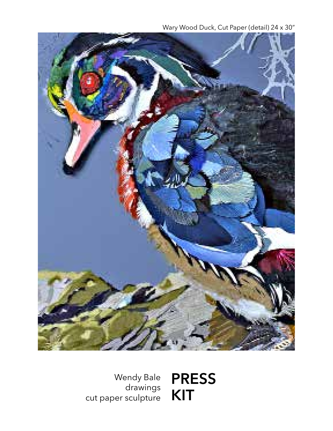Wary Wood Duck, Cut Paper (detail) 24 x 30"



Wendy Bale drawings cut paper sculpture **PRESS KIT**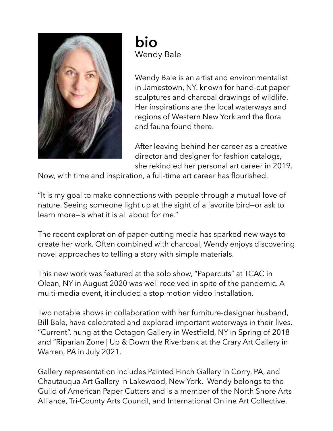

**bio** Wendy Bale

Wendy Bale is an artist and environmentalist in Jamestown, NY. known for hand-cut paper sculptures and charcoal drawings of wildlife. Her inspirations are the local waterways and regions of Western New York and the flora and fauna found there.

After leaving behind her career as a creative director and designer for fashion catalogs, she rekindled her personal art career in 2019.

Now, with time and inspiration, a full-time art career has flourished.

"It is my goal to make connections with people through a mutual love of nature. Seeing someone light up at the sight of a favorite bird—or ask to learn more—is what it is all about for me."

The recent exploration of paper-cutting media has sparked new ways to create her work. Often combined with charcoal, Wendy enjoys discovering novel approaches to telling a story with simple materials.

This new work was featured at the solo show, "Papercuts" at TCAC in Olean, NY in August 2020 was well received in spite of the pandemic. A multi-media event, it included a stop motion video installation.

Two notable shows in collaboration with her furniture-designer husband, Bill Bale, have celebrated and explored important waterways in their lives. "Current", hung at the Octagon Gallery in Westfield, NY in Spring of 2018 and "Riparian Zone | Up & Down the Riverbank at the Crary Art Gallery in Warren, PA in July 2021.

Gallery representation includes Painted Finch Gallery in Corry, PA, and Chautauqua Art Gallery in Lakewood, New York. Wendy belongs to the Guild of American Paper Cutters and is a member of the North Shore Arts Alliance, Tri-County Arts Council, and International Online Art Collective.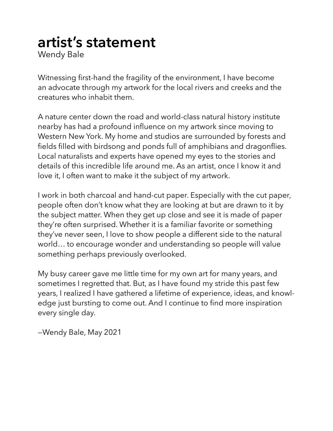# **artist's statement**

Wendy Bale

Witnessing first-hand the fragility of the environment, I have become an advocate through my artwork for the local rivers and creeks and the creatures who inhabit them.

A nature center down the road and world-class natural history institute nearby has had a profound influence on my artwork since moving to Western New York. My home and studios are surrounded by forests and fields filled with birdsong and ponds full of amphibians and dragonflies. Local naturalists and experts have opened my eyes to the stories and details of this incredible life around me. As an artist, once I know it and love it, I often want to make it the subject of my artwork.

I work in both charcoal and hand-cut paper. Especially with the cut paper, people often don't know what they are looking at but are drawn to it by the subject matter. When they get up close and see it is made of paper they're often surprised. Whether it is a familiar favorite or something they've never seen, I love to show people a different side to the natural world… to encourage wonder and understanding so people will value something perhaps previously overlooked.

My busy career gave me little time for my own art for many years, and sometimes I regretted that. But, as I have found my stride this past few years, I realized I have gathered a lifetime of experience, ideas, and knowledge just bursting to come out. And I continue to find more inspiration every single day.

—Wendy Bale, May 2021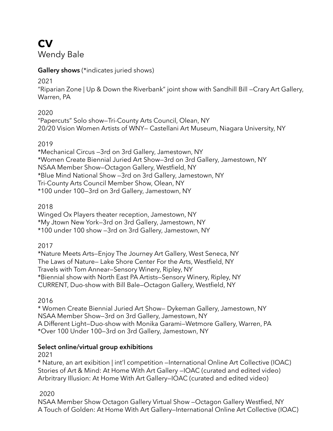# **cv**

Wendy Bale

## **Gallery shows** (\*indicates juried shows)

2021

"Riparian Zone | Up & Down the Riverbank" joint show with Sandhill Bill —Crary Art Gallery, Warren, PA

## 2020

"Papercuts" Solo show—Tri-County Arts Council, Olean, NY 20/20 Vision Women Artists of WNY— Castellani Art Museum, Niagara University, NY

## 2019

\*Mechanical Circus —3rd on 3rd Gallery, Jamestown, NY \*Women Create Biennial Juried Art Show—3rd on 3rd Gallery, Jamestown, NY NSAA Member Show—Octagon Gallery, Westfield, NY \*Blue Mind National Show —3rd on 3rd Gallery, Jamestown, NY Tri-County Arts Council Member Show, Olean, NY \*100 under 100—3rd on 3rd Gallery, Jamestown, NY

## 2018

Winged Ox Players theater reception, Jamestown, NY \*My Jtown New York—3rd on 3rd Gallery, Jamestown, NY \*100 under 100 show —3rd on 3rd Gallery, Jamestown, NY

## 2017

\*Nature Meets Arts—Enjoy The Journey Art Gallery, West Seneca, NY The Laws of Nature— Lake Shore Center For the Arts, Westfield, NY Travels with Tom Annear—Sensory Winery, Ripley, NY \*Biennial show with North East PA Artists—Sensory Winery, Ripley, NY CURRENT, Duo-show with Bill Bale—Octagon Gallery, Westfield, NY

2016

\* Women Create Biennial Juried Art Show— Dykeman Gallery, Jamestown, NY NSAA Member Show—3rd on 3rd Gallery, Jamestown, NY A Different Light—Duo-show with Monika Garami—Wetmore Gallery, Warren, PA \*Over 100 Under 100—3rd on 3rd Gallery, Jamestown, NY

## **Select online/virtual group exhibitions**

2021

\* Nature, an art exibition | int'l competition —International Online Art Collective (IOAC) Stories of Art & Mind: At Home With Art Gallery —IOAC (curated and edited video) Arbritrary Illusion: At Home With Art Gallery—IOAC (curated and edited video)

## 2020

NSAA Member Show Octagon Gallery Virtual Show —Octagon Gallery Westfied, NY A Touch of Golden: At Home With Art Gallery—International Online Art Collective (IOAC)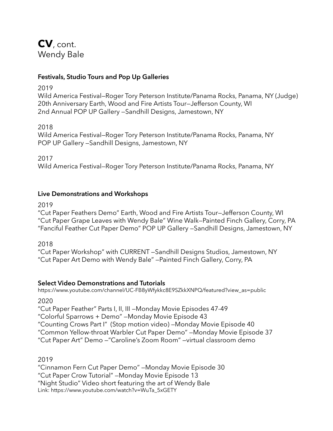## **cv**, cont. Wendy Bale

### **Festivals, Studio Tours and Pop Up Galleries**

2019

Wild America Festival—Roger Tory Peterson Institute/Panama Rocks, Panama, NY (Judge) 20th Anniversary Earth, Wood and Fire Artists Tour—Jefferson County, WI 2nd Annual POP UP Gallery —Sandhill Designs, Jamestown, NY

2018

Wild America Festival—Roger Tory Peterson Institute/Panama Rocks, Panama, NY POP UP Gallery —Sandhill Designs, Jamestown, NY

2017

Wild America Festival—Roger Tory Peterson Institute/Panama Rocks, Panama, NY

### **Live Demonstrations and Workshops**

2019

"Cut Paper Feathers Demo" Earth, Wood and Fire Artists Tour—Jefferson County, WI "Cut Paper Grape Leaves with Wendy Bale" Wine Walk—Painted Finch Gallery, Corry, PA "Fanciful Feather Cut Paper Demo" POP UP Gallery —Sandhill Designs, Jamestown, NY

2018

"Cut Paper Workshop" with CURRENT —Sandhill Designs Studios, Jamestown, NY "Cut Paper Art Demo with Wendy Bale" —Painted Finch Gallery, Corry, PA

## **Select Video Demonstrations and Tutorials**

https://www.youtube.com/channel/UC-FB8yWfykkc8E9SZkkXNPQ/featured?view\_as=public

2020

"Cut Paper Feather" Parts I, II, III —Monday Movie Episodes 47-49

"Colorful Sparrows + Demo" —Monday Movie Episode 43

"Counting Crows Part I" (Stop motion video) —Monday Movie Episode 40

"Common Yellow-throat Warbler Cut Paper Demo" —Monday Movie Episode 37

"Cut Paper Art" Demo —"Caroline's Zoom Room" —virtual classroom demo

2019

"Cinnamon Fern Cut Paper Demo" —Monday Movie Episode 30

"Cut Paper Crow Tutorial" —Monday Movie Episode 13

"Night Studio" Video short featuring the art of Wendy Bale

Link: https://www.youtube.com/watch?v=WuTa\_5xGETY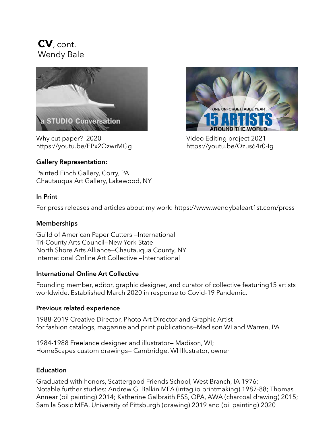## **cv**, cont. Wendy Bale



Why cut paper? 2020 https://youtu.be/EPx2QzwrMGg



# **Gallery Representation:**

Painted Finch Gallery, Corry, PA Chautauqua Art Gallery, Lakewood, NY

### **In Print**

For press releases and articles about my work: https://www.wendybaleart1st.com/press

## **Memberships**

Guild of American Paper Cutters —International Tri-County Arts Council—New York State North Shore Arts Alliance—Chautauqua County, NY International Online Art Collective —International

### **International Online Art Collective**

Founding member, editor, graphic designer, and curator of collective featuring15 artists worldwide. Established March 2020 in response to Covid-19 Pandemic.

### **Previous related experience**

1988-2019 Creative Director, Photo Art Director and Graphic Artist for fashion catalogs, magazine and print publications—Madison WI and Warren, PA

1984-1988 Freelance designer and illustrator— Madison, WI; HomeScapes custom drawings— Cambridge, WI Illustrator, owner

## **Education**

Graduated with honors, Scattergood Friends School, West Branch, IA 1976; Notable further studies: Andrew G. Balkin MFA (intaglio printmaking) 1987-88; Thomas Annear (oil painting) 2014; Katherine Galbraith PSS, OPA, AWA (charcoal drawing) 2015; Samila Sosic MFA, University of Pittsburgh (drawing) 2019 and (oil painting) 2020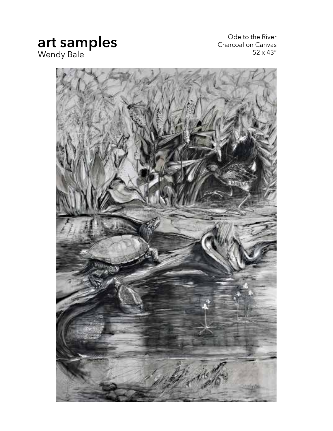## **art samples** Wendy Bale

Ode to the River Charcoal on Canvas 52 x 43"

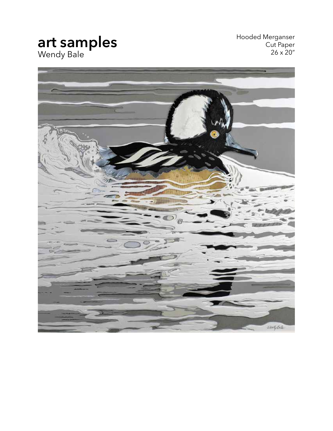## **art samples** Wendy Bale

Hooded Merganser Cut Paper 26 x 20"

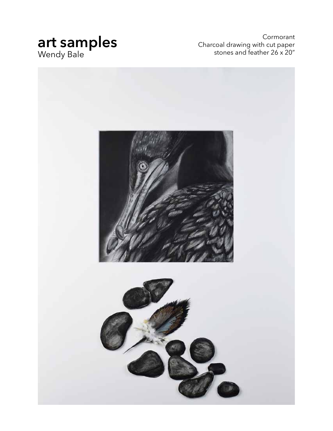## **art samples** Wendy Bale

Cormorant Charcoal drawing with cut paper stones and feather 26 x 20"